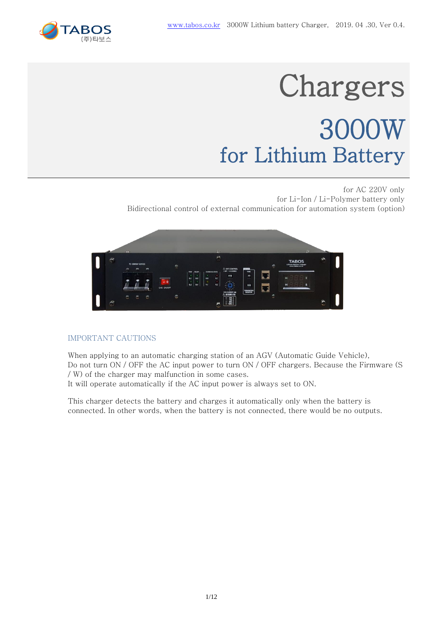

# **Chargers** 3000W for Lithium Battery

for AC 220V only for Li-Ion / Li-Polymer battery only Bidirectional control of external communication for automation system (option)



#### IMPORTANT CAUTIONS

When applying to an automatic charging station of an AGV (Automatic Guide Vehicle), Do not turn ON / OFF the AC input power to turn ON / OFF chargers. Because the Firmware (S / W) of the charger may malfunction in some cases.

It will operate automatically if the AC input power is always set to ON.

This charger detects the battery and charges it automatically only when the battery is connected. In other words, when the battery is not connected, there would be no outputs.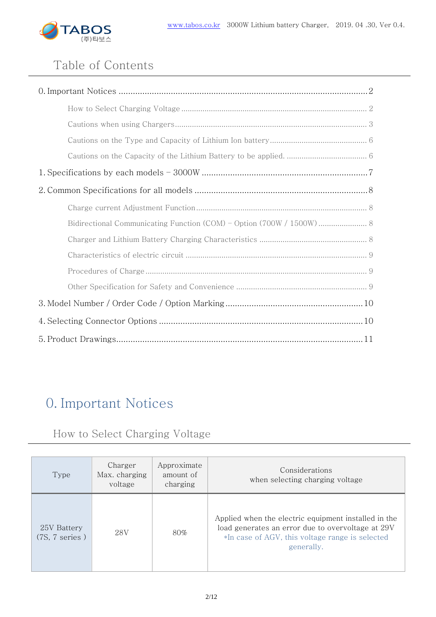

# Table of Contents

| Bidirectional Communicating Function (COM) - Option (700W / 1500W)  8 |
|-----------------------------------------------------------------------|
|                                                                       |
|                                                                       |
|                                                                       |
|                                                                       |
|                                                                       |
|                                                                       |
|                                                                       |

# 0. Important Notices

# How to Select Charging Voltage

| Type                                    | Charger<br>Max. charging<br>voltage | Approximate<br>amount of<br>charging | Considerations<br>when selecting charging voltage                                                                                                                          |
|-----------------------------------------|-------------------------------------|--------------------------------------|----------------------------------------------------------------------------------------------------------------------------------------------------------------------------|
| 25V Battery<br>$(7S, 7 \text{ series})$ | 28V                                 | 80%                                  | Applied when the electric equipment installed in the<br>load generates an error due to overvoltage at 29V<br>*In case of AGV, this voltage range is selected<br>generally. |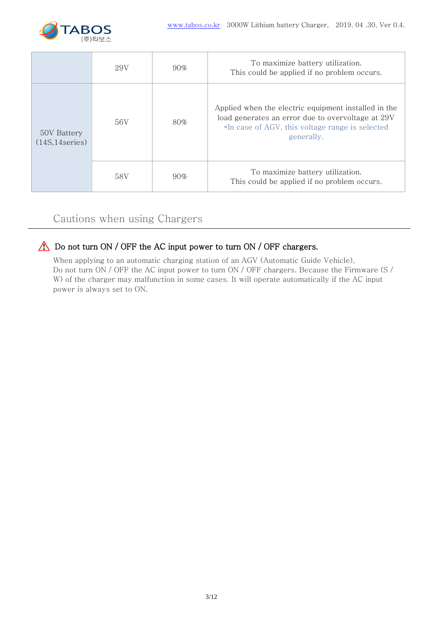

|                                | 29V | $90\%$ | To maximize battery utilization.<br>This could be applied if no problem occurs.                                                                                            |
|--------------------------------|-----|--------|----------------------------------------------------------------------------------------------------------------------------------------------------------------------------|
| 50V Battery<br>(14S, 14series) | 56V | $80\%$ | Applied when the electric equipment installed in the<br>load generates an error due to overvoltage at 29V<br>*In case of AGV, this voltage range is selected<br>generally. |
|                                | 58V | $90\%$ | To maximize battery utilization.<br>This could be applied if no problem occurs.                                                                                            |

# Cautions when using Chargers

## Do not turn ON / OFF the AC input power to turn ON / OFF chargers.

When applying to an automatic charging station of an AGV (Automatic Guide Vehicle), Do not turn ON / OFF the AC input power to turn ON / OFF chargers. Because the Firmware (S / W) of the charger may malfunction in some cases. It will operate automatically if the AC input power is always set to ON.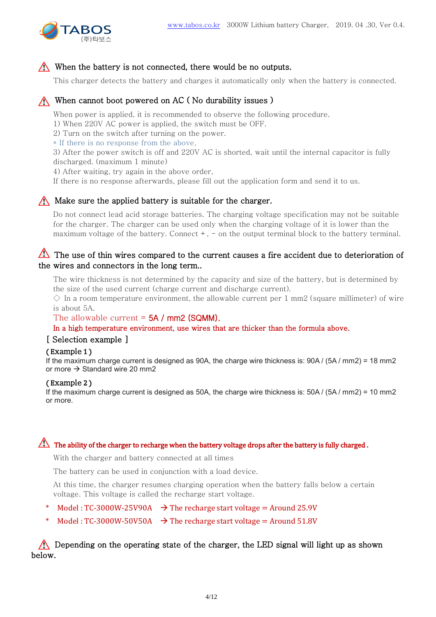

#### When the battery is not connected, there would be no outputs.

This charger detects the battery and charges it automatically only when the battery is connected.

#### When cannot boot powered on AC (No durability issues)

When power is applied, it is recommended to observe the following procedure.

1) When 220V AC power is applied, the switch must be OFF.

2) Turn on the switch after turning on the power.

\* If there is no response from the above,

3) After the power switch is off and 220V AC is shorted, wait until the internal capacitor is fully discharged. (maximum 1 minute)

4) After waiting, try again in the above order,

If there is no response afterwards, please fill out the application form and send it to us.

#### $\bigwedge$  Make sure the applied battery is suitable for the charger.

Do not connect lead acid storage batteries. The charging voltage specification may not be suitable for the charger. The charger can be used only when the charging voltage of it is lower than the maximum voltage of the battery. Connect  $+$ ,  $-$  on the output terminal block to the battery terminal.

#### The use of thin wires compared to the current causes a fire accident due to deterioration of the wires and connectors in the long term..

The wire thickness is not determined by the capacity and size of the battery, but is determined by the size of the used current (charge current and discharge current).

 $\Diamond$  In a room temperature environment, the allowable current per 1 mm2 (square millimeter) of wire is about 5A.

#### The allowable current  $=$  5A / mm2 (SQMM).

In a high temperature environment, use wires that are thicker than the formula above.

#### [ Selection example ]

#### ( Example 1 )

If the maximum charge current is designed as 90A, the charge wire thickness is: 90A / (5A / mm2) = 18 mm2 or more  $\rightarrow$  Standard wire 20 mm2

#### ( Example 2 )

If the maximum charge current is designed as 50A, the charge wire thickness is: 50A / (5A / mm2) = 10 mm2 or more.

#### The ability of the charger to recharge when the battery voltage drops after the battery is fully charged .

With the charger and battery connected at all times

The battery can be used in conjunction with a load device.

At this time, the charger resumes charging operation when the battery falls below a certain voltage. This voltage is called the recharge start voltage.

- Model : TC-3000W-25V90A  $\rightarrow$  The recharge start voltage = Around 25.9V
- Model : TC-3000W-50V50A  $\rightarrow$  The recharge start voltage = Around 51.8V

#### Depending on the operating state of the charger, the LED signal will light up as shown below.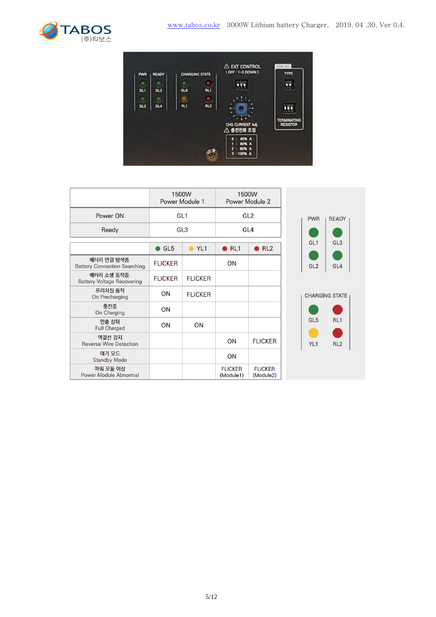



|                                                   | 1500W<br><b>Power Module 1</b> |                | 1500W<br><b>Power Module 2</b> |                             |                 |                       |
|---------------------------------------------------|--------------------------------|----------------|--------------------------------|-----------------------------|-----------------|-----------------------|
| Power ON                                          | GL <sub>1</sub>                |                | GL <sub>2</sub>                |                             | <b>PWR</b>      | <b>READY</b>          |
| Ready                                             | GL <sub>3</sub>                |                | GL <sub>4</sub>                |                             |                 |                       |
|                                                   | $\bullet$ GL5                  | $\bullet$ YL1  | $\bullet$ RL1                  | $\bullet$ RL2               | GL <sub>1</sub> | GL3                   |
| 배터리 연결 탐색중<br><b>Battery Connection Searching</b> | <b>FLICKER</b>                 |                | ON                             |                             | GL <sub>2</sub> | GL4                   |
| 배터리 소생 동작중<br><b>Battery Voltage Recovering</b>   | <b>FLICKER</b>                 | <b>FLICKER</b> |                                |                             |                 |                       |
| 프리차징 동작<br>On Precharging                         | <b>ON</b>                      | <b>FLICKER</b> |                                |                             |                 | <b>CHARGING STATE</b> |
| 충전중<br>On Charging                                | <b>ON</b>                      |                |                                |                             |                 |                       |
| 만충 상태<br><b>Full Charged</b>                      | ON                             | ON             |                                |                             | GL <sub>5</sub> | RL <sub>1</sub>       |
| 역결선 감지<br><b>Reverse Wire Detection</b>           |                                |                | ON                             | <b>FLICKER</b>              | YL1             | RL <sub>2</sub>       |
| 대기 모드<br><b>Standby Mode</b>                      |                                |                | ON                             |                             |                 |                       |
| 파워 모듈 이상<br><b>Power Module Abnormal</b>          |                                |                | <b>FLICKER</b><br>(Module1)    | <b>FLICKER</b><br>(Module2) |                 |                       |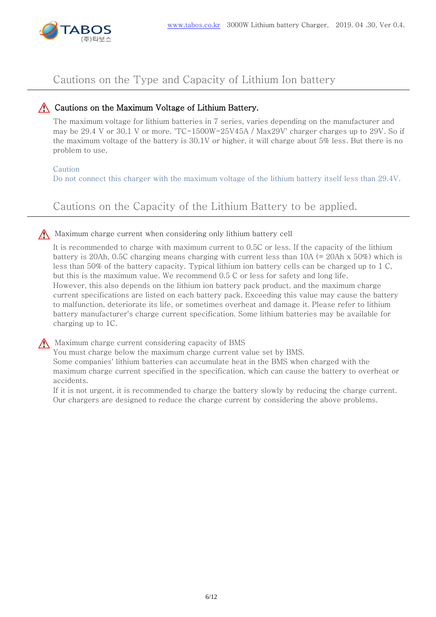

## Cautions on the Type and Capacity of Lithium Ion battery

#### Cautions on the Maximum Voltage of Lithium Battery.

The maximum voltage for lithium batteries in 7 series, varies depending on the manufacturer and may be 29.4 V or 30.1 V or more. 'TC-1500W-25V45A / Max29V' charger charges up to 29V. So if the maximum voltage of the battery is 30.1V or higher, it will charge about 5% less. But there is no problem to use.

#### Caution

Do not connect this charger with the maximum voltage of the lithium battery itself less than 29.4V.

Cautions on the Capacity of the Lithium Battery to be applied.

#### Maximum charge current when considering only lithium battery cell

It is recommended to charge with maximum current to 0.5C or less. If the capacity of the lithium battery is 20Ah, 0.5C charging means charging with current less than  $10A$  (= 20Ah x 50%) which is less than 50% of the battery capacity. Typical lithium ion battery cells can be charged up to 1 C, but this is the maximum value. We recommend 0.5 C or less for safety and long life. However, this also depends on the lithium ion battery pack product, and the maximum charge current specifications are listed on each battery pack. Exceeding this value may cause the battery to malfunction, deteriorate its life, or sometimes overheat and damage it. Please refer to lithium battery manufacturer's charge current specification. Some lithium batteries may be available for charging up to 1C.

Maximum charge current considering capacity of BMS

You must charge below the maximum charge current value set by BMS. Some companies' lithium batteries can accumulate heat in the BMS when charged with the maximum charge current specified in the specification, which can cause the battery to overheat or accidents.

If it is not urgent, it is recommended to charge the battery slowly by reducing the charge current. Our chargers are designed to reduce the charge current by considering the above problems.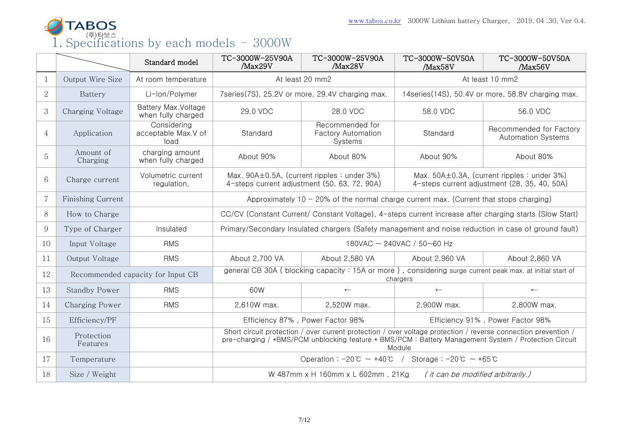

|                |                        | Standard model                             | TC-3000W-25V90A<br>/Max29V                                                                                                                                                                                                       | TC-3000W-25V90A<br>/Max28V                              | TC-3000W-50V50A<br>/Max58V                        | TC-3000W-50V50A<br>/Max56V                           |  |
|----------------|------------------------|--------------------------------------------|----------------------------------------------------------------------------------------------------------------------------------------------------------------------------------------------------------------------------------|---------------------------------------------------------|---------------------------------------------------|------------------------------------------------------|--|
| 1              | Output Wire Size       | At room temperature                        |                                                                                                                                                                                                                                  | At least 20 mm2                                         | At least 10 mm2                                   |                                                      |  |
| $\overline{2}$ | Battery                | Li-lon/Polymer                             |                                                                                                                                                                                                                                  | 7series(7S), 25.2V or more, 29.4V charging max.         | 14series(14S), 50.4V or more, 58.8V charging max. |                                                      |  |
| 3              | Charging Voltage       | Battery Max. Voltage<br>when fully charged | 29.0 VDC                                                                                                                                                                                                                         | 28.0 VDC                                                | 58.0 VDC                                          | 56.0 VDC                                             |  |
| $\overline{4}$ | Application            | Considering<br>acceptable Max.V of<br>load | Standard                                                                                                                                                                                                                         | Recommended for<br><b>Factory Automation</b><br>Systems | Standard                                          | Recommended for Factory<br><b>Automation Systems</b> |  |
| 5              | Amount of<br>Charging  | charging amount<br>when fully charged      | About 90%                                                                                                                                                                                                                        | About 80%                                               | About 90%                                         | About 80%                                            |  |
| 6              | Charge current         | Volumetric current<br>regulation,          | Max. 90A±0.5A, (current ripples: under 3%)<br>Max. 50A±0.3A, (current ripples: under 3%)<br>4-steps current adjustment (50, 63, 72, 90A)<br>4-steps current adjustment (28, 35, 40, 50A)                                         |                                                         |                                                   |                                                      |  |
| $\overline{7}$ | Finishing Current      |                                            | Approximately 10 - 20% of the normal charge current max. (Current that stops charging)                                                                                                                                           |                                                         |                                                   |                                                      |  |
| 8              | How to Charge          |                                            | CC/CV (Constant Current/ Constant Voltage), 4-steps current increase after charging starts (Slow Start)                                                                                                                          |                                                         |                                                   |                                                      |  |
| 9              | Type of Charger        | Insulated                                  | Primary/Secondary Insulated chargers (Safety management and noise reduction in case of ground fault)                                                                                                                             |                                                         |                                                   |                                                      |  |
| 10             | Input Voltage          | <b>RMS</b>                                 | 180VAC ~ 240VAC / 50~60 Hz                                                                                                                                                                                                       |                                                         |                                                   |                                                      |  |
| 11             | Output Voltage         | <b>RMS</b>                                 | About 2,700 VA                                                                                                                                                                                                                   | About 2,580 VA                                          | About 2,960 VA<br>About 2,860 VA                  |                                                      |  |
| 12             |                        | Recommended capacity for Input CB          | general CB 30A (blocking capacity: 15A or more), considering surge current peak max. at initial start of<br>chargers                                                                                                             |                                                         |                                                   |                                                      |  |
| 13             | <b>Standby Power</b>   | <b>RMS</b>                                 | 60W                                                                                                                                                                                                                              | $\leftarrow$                                            | $\leftarrow$                                      | $\leftarrow$                                         |  |
| 14             | Charging Power         | <b>RMS</b>                                 | 2,610W max.                                                                                                                                                                                                                      | 2,520W max.                                             | 2,900W max.                                       | 2,800W max.                                          |  |
| 15             | Efficiency/PF          |                                            | Efficiency 87%, Power Factor 98%<br>Efficiency 91%, Power Factor 98%                                                                                                                                                             |                                                         |                                                   |                                                      |  |
| 16             | Protection<br>Features |                                            | Short circuit protection / over current protection / over voltage protection / reverse connection prevention /<br>pre-charging / *BMS/PCM unblocking feature * BMS/PCM: Battery Management System / Protection Circuit<br>Module |                                                         |                                                   |                                                      |  |
| 17             | Temperature            |                                            | Operation: $-20^{\circ}\text{C} \sim +40^{\circ}\text{C}$ / Storage: $-20^{\circ}\text{C} \sim +65^{\circ}\text{C}$                                                                                                              |                                                         |                                                   |                                                      |  |
| 18             | Size / Weight          |                                            | W 487mm x H 160mm x L 602mm, 21Kg<br>(it can be modified arbitrarily.)                                                                                                                                                           |                                                         |                                                   |                                                      |  |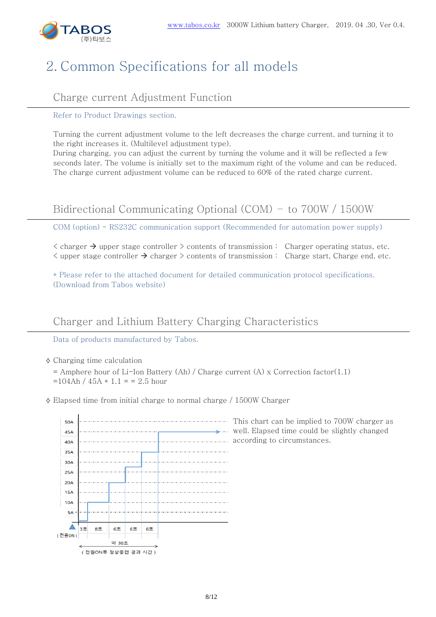

# 2. Common Specifications for all models

## Charge current Adjustment Function

Refer to Product Drawings section.

Turning the current adjustment volume to the left decreases the charge current, and turning it to the right increases it. (Multilevel adjustment type).

During charging, you can adjust the current by turning the volume and it will be reflected a few seconds later. The volume is initially set to the maximum right of the volume and can be reduced. The charge current adjustment volume can be reduced to 60% of the rated charge current.

# Bidirectional Communicating Optional (COM) – to 700W / 1500W

COM (option) - RS232C communication support (Recommended for automation power supply)

 $\zeta$  charger  $\rightarrow$  upper stage controller  $\geq$  contents of transmission : Charger operating status, etc.  $\langle$  upper stage controller  $\rightarrow$  charger  $\rangle$  contents of transmission : Charge start, Charge end, etc.

\* Please refer to the attached document for detailed communication protocol specifications. (Download from Tabos website)

## Charger and Lithium Battery Charging Characteristics

Data of products manufactured by Tabos.

- $\diamond$  Charging time calculation
	- $=$  Amphere hour of Li-Ion Battery (Ah) / Charge current (A) x Correction factor(1.1)  $=104$ Ah /  $45A * 1.1 = 2.5$  hour
- $\Diamond$  Elapsed time from initial charge to normal charge / 1500W Charger



This chart can be implied to 700W charger as well. Elapsed time could be slightly changed according to circumstances.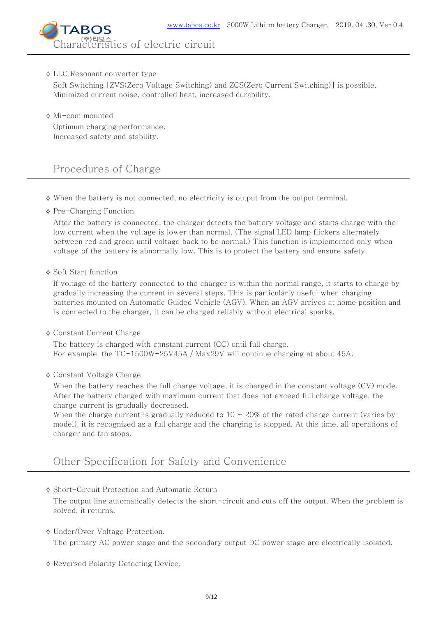

#### ⟡ LLC Resonant converter type

Soft Switching [ZVS(Zero Voltage Switching) and ZCS(Zero Current Switching)] is possible. Minimized current noise, controlled heat, increased durability.

⟡ Mi-com mounted

Optimum charging performance. Increased safety and stability.

## Procedures of Charge

- $\diamond$  When the battery is not connected, no electricity is output from the output terminal.
- ⟡ Pre-Charging Function

After the battery is connected, the charger detects the battery voltage and starts charge with the low current when the voltage is lower than normal. (The signal LED lamp flickers alternately between red and green until voltage back to be normal.) This function is implemented only when voltage of the battery is abnormally low. This is to protect the battery and ensure safety.

#### ⟡ Soft Start function

If voltage of the battery connected to the charger is within the normal range, it starts to charge by gradually increasing the current in several steps. This is particularly useful when charging batteries mounted on Automatic Guided Vehicle (AGV). When an AGV arrives at home position and is connected to the charger, it can be charged reliably without electrical sparks.

⟡ Constant Current Charge

The battery is charged with constant current (CC) until full charge. For example, the TC-1500W-25V45A / Max29V will continue charging at about 45A.

⟡ Constant Voltage Charge

When the battery reaches the full charge voltage, it is charged in the constant voltage (CV) mode. After the battery charged with maximum current that does not exceed full charge voltage, the charge current is gradually decreased.

When the charge current is gradually reduced to  $10 \approx 20\%$  of the rated charge current (varies by model), it is recognized as a full charge and the charging is stopped. At this time, all operations of charger and fan stops.

### Other Specification for Safety and Convenience

⟡ Short-Circuit Protection and Automatic Return

The output line automatically detects the short-circuit and cuts off the output. When the problem is solved, it returns.

⟡ Under/Over Voltage Protection.

The primary AC power stage and the secondary output DC power stage are electrically isolated.

⟡ Reversed Polarity Detecting Device,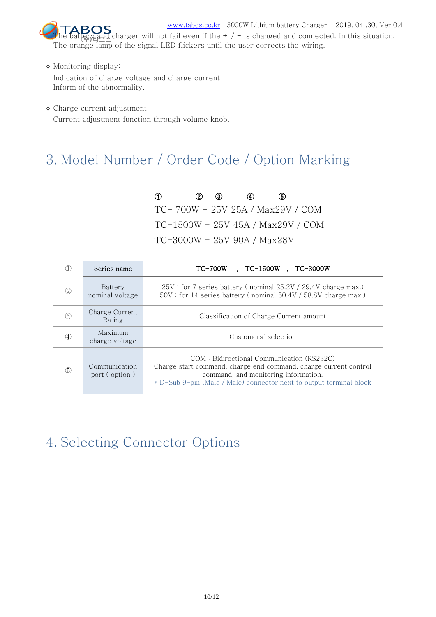

[www.tabos.co.kr](http://www.tabos.co.kr/) 3000W Lithium battery Charger, 2019. 04 .30, Ver 0.4. **The battery Charger will not fail even if the + / - is changed and connected. In this situation,**<br>第 <u>perties and</u> charger will not fail even if the + / - is changed and connected. In this situation, The orange lamp of the signal LED flickers until the user corrects the wiring.

 $\diamond$  Monitoring display:

Indication of charge voltage and charge current Inform of the abnormality.

⟡ Charge current adjustment

Current adjustment function through volume knob.

# 3. Model Number / Order Code / Option Marking

① ② ③ ④ ⑤ TC- 700W - 25V 25A / Max29V / COM TC-1500W - 25V 45A / Max29V / COM TC-3000W - 25V 90A / Max28V

|          | Series name                    | TC-700W<br>. TC-1500W . TC-3000W                                                                                                                                                                                             |  |  |  |
|----------|--------------------------------|------------------------------------------------------------------------------------------------------------------------------------------------------------------------------------------------------------------------------|--|--|--|
| 2        | Battery<br>nominal voltage     | $25V$ : for 7 series battery (nominal $25.2V/29.4V$ charge max.)<br>$50V$ : for 14 series battery (nominal $50.4V/58.8V$ charge max.)                                                                                        |  |  |  |
| (3)      | Charge Current<br>Rating       | Classification of Charge Current amount                                                                                                                                                                                      |  |  |  |
|          | Maximum<br>charge voltage      | Customers' selection                                                                                                                                                                                                         |  |  |  |
| <u>க</u> | Communication<br>port (option) | COM: Bidirectional Communication (RS232C)<br>Charge start command, charge end command, charge current control<br>command, and monitoring information.<br>* D-Sub 9-pin (Male / Male) connector next to output terminal block |  |  |  |

# 4. Selecting Connector Options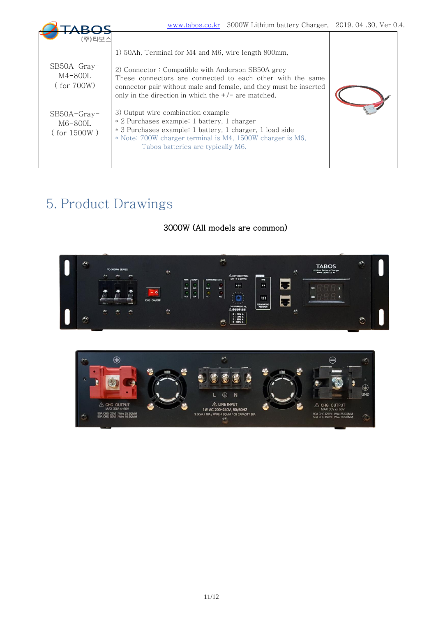|                                                                                                    | www.tabos.co.kr 3000W Lithium battery Charger, 2019.04.30, Ver 0.4.                                                                                                                                                                                                                                                                                                                                                                                                                                                                                      |  |
|----------------------------------------------------------------------------------------------------|----------------------------------------------------------------------------------------------------------------------------------------------------------------------------------------------------------------------------------------------------------------------------------------------------------------------------------------------------------------------------------------------------------------------------------------------------------------------------------------------------------------------------------------------------------|--|
| (주)타보스<br>$SB50A-Gray-$<br>M4-800L<br>$($ for $700W)$<br>$SB50A-Gray-$<br>$M6-800L$<br>(for 1500W) | 1) 50Ah, Terminal for M4 and M6, wire length 800mm,<br>2) Connector : Compatible with Anderson SB50A grey<br>These connectors are connected to each other with the same<br>connector pair without male and female, and they must be inserted<br>only in the direction in which the $+/-$ are matched.<br>3) Output wire combination example<br>* 2 Purchases example: 1 battery, 1 charger<br>* 3 Purchases example: 1 battery, 1 charger, 1 load side<br>* Note: 700W charger terminal is M4, 1500W charger is M6.<br>Tabos batteries are typically M6. |  |

# 5. Product Drawings

## 3000W (All models are common)